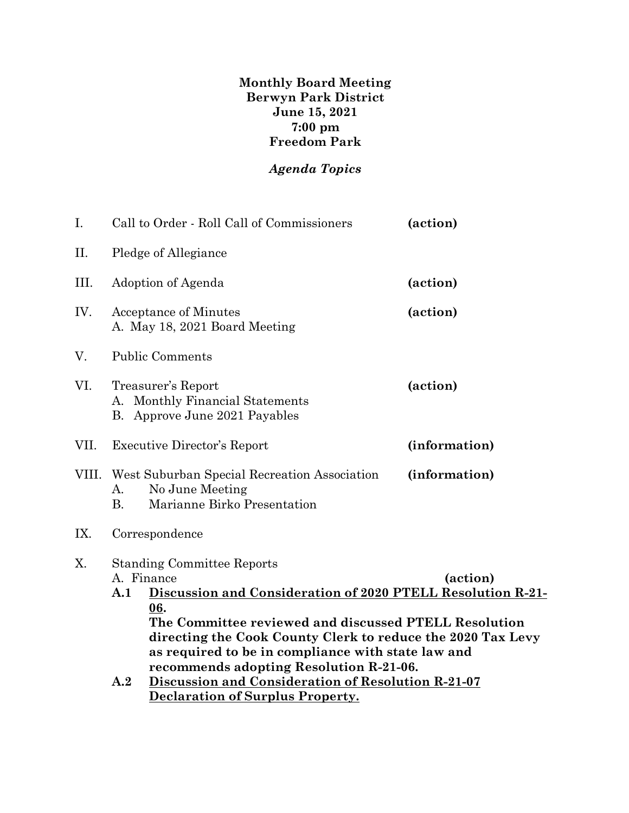**Monthly Board Meeting Berwyn Park District June 15, 2021 7:00 pm Freedom Park**

## *Agenda Topics*

| I.    | Call to Order - Roll Call of Commissioners                                                                                                                                                                                                                                                                                                                        | (action)      |  |  |  |
|-------|-------------------------------------------------------------------------------------------------------------------------------------------------------------------------------------------------------------------------------------------------------------------------------------------------------------------------------------------------------------------|---------------|--|--|--|
| П.    | Pledge of Allegiance                                                                                                                                                                                                                                                                                                                                              |               |  |  |  |
| III.  | Adoption of Agenda                                                                                                                                                                                                                                                                                                                                                | (action)      |  |  |  |
| IV.   | <b>Acceptance of Minutes</b><br>A. May 18, 2021 Board Meeting                                                                                                                                                                                                                                                                                                     | (action)      |  |  |  |
| V.    | <b>Public Comments</b>                                                                                                                                                                                                                                                                                                                                            |               |  |  |  |
| VI.   | Treasurer's Report<br>A. Monthly Financial Statements<br>B. Approve June 2021 Payables                                                                                                                                                                                                                                                                            | (action)      |  |  |  |
| VII.  | (information)<br><b>Executive Director's Report</b>                                                                                                                                                                                                                                                                                                               |               |  |  |  |
| VIII. | West Suburban Special Recreation Association<br>No June Meeting<br>А.<br>Marianne Birko Presentation<br><b>B.</b>                                                                                                                                                                                                                                                 | (information) |  |  |  |
| IX.   | Correspondence                                                                                                                                                                                                                                                                                                                                                    |               |  |  |  |
| Χ.    | <b>Standing Committee Reports</b><br>A. Finance<br>(action)<br>Discussion and Consideration of 2020 PTELL Resolution R-21-<br>A.1<br>06.<br>The Committee reviewed and discussed PTELL Resolution<br>directing the Cook County Clerk to reduce the 2020 Tax Levy<br>as required to be in compliance with state law and<br>recommends adopting Resolution R-21-06. |               |  |  |  |
|       | Discussion and Consideration of Resolution R-21-07<br>$\mathbf{A.2}$<br>Declaration of Surplus Property.                                                                                                                                                                                                                                                          |               |  |  |  |